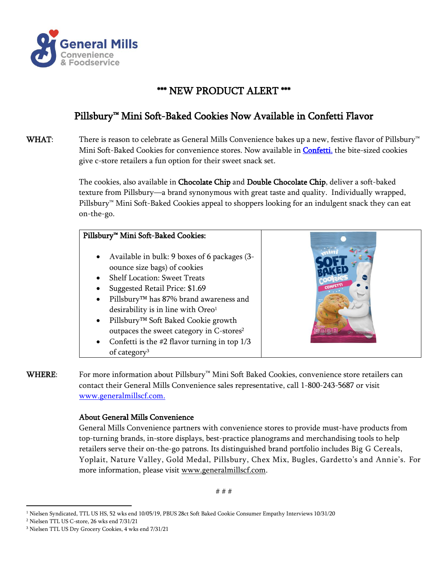

## \*\*\* NEW PRODUCT ALERT \*\*\*

## Pillsbury™ Mini Soft-Baked Cookies Now Available in Confetti Flavor

WHAT: There is reason to celebrate as General Mills Convenience bakes up a new, festive flavor of Pillsbury<sup>™</sup> Mini Soft-Baked Cookies for convenience stores. Now available in [Confetti,](https://www.generalmillscf.com/products/category/snacks/soft-baked-snacks/pillsbury-soft-baked-mini-cookies-confetti) the bite-sized cookies give c-store retailers a fun option for their sweet snack set.

> The cookies, also available in Chocolate Chip and Double Chocolate Chip, deliver a soft-baked texture from Pillsbury—a brand synonymous with great taste and quality. Individually wrapped, Pillsbury™ Mini Soft-Baked Cookies appeal to shoppers looking for an indulgent snack they can eat on-the-go.

## Pillsbury™ Mini Soft-Baked Cookies:

- Available in bulk: 9 boxes of 6 packages (3 oounce size bags) of cookies
- Shelf Location: Sweet Treats
- Suggested Retail Price: \$1.69
- Pillsbury™ has 87% brand awareness and desirability is in line with Oreo<sup>1</sup>
- Pillsbury™ Soft Baked Cookie growth outpaces the sweet category in C-stores<sup>2</sup>
- Confetti is the  $#2$  flavor turning in top  $1/3$ of category<sup>3</sup>



WHERE: For more information about Pillsbury™ Mini Soft Baked Cookies, convenience store retailers can contact their General Mills Convenience sales representative, call 1-800-243-5687 or visit [www.generalmillscf.com.](http://www.generalmillscf.com/)

## About General Mills Convenience

General Mills Convenience partners with convenience stores to provide must-have products from top-turning brands, in-store displays, best-practice planograms and merchandising tools to help retailers serve their on-the-go patrons. Its distinguished brand portfolio includes Big G Cereals, Yoplait, Nature Valley, Gold Medal, Pillsbury, Chex Mix, Bugles, Gardetto's and Annie's. For more information, please visit [www.generalmillscf.com.](http://www.generalmillscf.com/)

# # #

<sup>1</sup> Nielsen Syndicated, TTL US HS, 52 wks end 10/05/19, PBUS 28ct Soft Baked Cookie Consumer Empathy Interviews 10/31/20

<sup>2</sup> Nielsen TTL US C-store, 26 wks end 7/31/21

<sup>3</sup> Nielsen TTL US Dry Grocery Cookies, 4 wks end 7/31/21